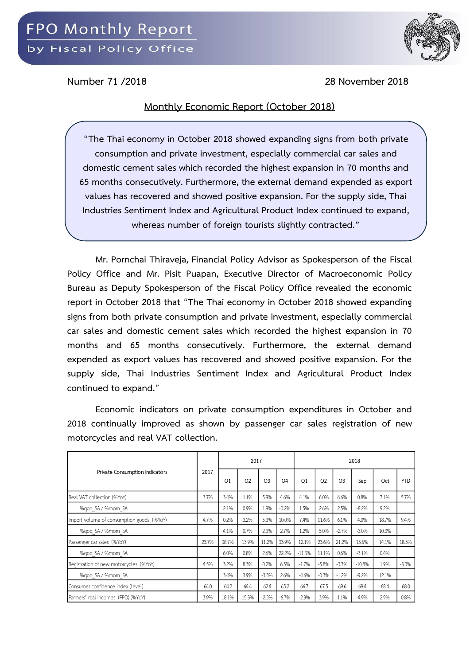

**Number 71 /2018 28 November 2018**

## **Monthly Economic Report (October 2018)**

**"The Thai economy in October 2018 showed expanding signs from both private consumption and private investment, especially commercial car sales and domestic cement sales which recorded the highest expansion in 70 months and 65 months consecutively. Furthermore, the external demand expended as export values has recovered and showed positive expansion. For the supply side, Thai Industries Sentiment Index and Agricultural Product Index continued to expand, whereas number of foreign tourists slightly contracted."**

**Mr. Pornchai Thiraveja, Financial Policy Advisor as Spokesperson of the Fiscal Policy Office and Mr. Pisit Puapan, Executive Director of Macroeconomic Policy Bureau as Deputy Spokesperson of the Fiscal Policy Office revealed the economic report in October 2018 that** "**The Thai economy in October 2018 showed expanding signs from both private consumption and private investment, especially commercial car sales and domestic cement sales which recorded the highest expansion in 70 months and 65 months consecutively. Furthermore, the external demand expended as export values has recovered and showed positive expansion. For the supply side, Thai Industries Sentiment Index and Agricultural Product Index continued to expand.**"

**Economic indicators on private consumption expenditures in October and 2018 continually improved as shown by passenger car sales registration of new motorcycles and real VAT collection.**

| Private Consumption Indicators            | 2017  |                | 2017           |                |                | 2018           |                |                |          |       |            |  |
|-------------------------------------------|-------|----------------|----------------|----------------|----------------|----------------|----------------|----------------|----------|-------|------------|--|
|                                           |       | O <sub>1</sub> | O <sub>2</sub> | O <sub>3</sub> | O <sub>4</sub> | O <sub>1</sub> | O <sub>2</sub> | O <sub>3</sub> | Sep      | Oct   | <b>YTD</b> |  |
| Real VAT collection (%YoY)                | 3.7%  | 3.4%           | 1.1%           | 5.9%           | 4.6%           | 4.1%           | 6.0%           | 6.6%           | 0.8%     | 7.1%  | 5.7%       |  |
| %gog SA / %mom SA                         |       | 2.1%           | 0.9%           | 1.9%           | $-0.2%$        | 1.5%           | 2.6%           | 2.5%           | $-8.2%$  | 9.2%  |            |  |
| Import volume of consumption goods (%YoY) | 4.7%  | 0.2%           | 3.2%           | 5.3%           | 10.0%          | 7.4%           | 11.6%          | 6.1%           | 4.0%     | 18.7% | 9.4%       |  |
| %gog SA / %mom SA                         |       | 4.1%           | 0.7%           | 2.3%           | 2.7%           | 1.2%           | 5.0%           | $-2.7%$        | $-3.0%$  | 10.3% |            |  |
| Passenger car sales (%YoY)                | 23.7% | 38.7%          | 13.9%          | 11.2%          | 33.9%          | 12.1%          | 23.6%          | 21.2%          | 15.6%    | 14.1% | 18.5%      |  |
| %gog SA / %mom SA                         |       | 6.0%           | 0.8%           | 2.6%           | 22.2%          | $-11.3%$       | 11.1%          | 0.6%           | $-3.1%$  | 0.4%  |            |  |
| Registration of new motorcycles (%YoY)    | 4.5%  | 3.2%           | 8.3%           | 0.2%           | 6.5%           | $-1.7%$        | $-5.8%$        | $-3.7%$        | $-10.8%$ | 1.9%  | $-3.3%$    |  |
| %gog SA / %mom SA                         |       | 3.4%           | 3.9%           | $-3.5%$        | 2.6%           | $-4.6%$        | $-0.3%$        | $-1.2%$        | $-9.2%$  | 12.1% |            |  |
| Consumer confidence index (level)         | 64.0  | 64.2           | 64.4           | 62.4           | 65.2           | 66.7           | 67.5           | 69.6           | 69.4     | 68.4  | 68.0       |  |
| Farmers' real incomes (FPO) (%YoY)        | 3.9%  | 18.1%          | 15.3%          | $-2.5%$        | $-6.7%$        | $-2.3%$        | 3.9%           | 1.1%           | $-4.9%$  | 2.9%  | 0.8%       |  |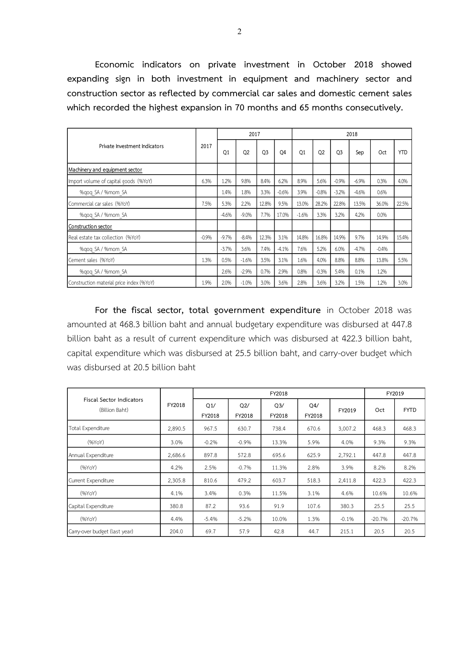**Economic indicators on private investment in October 2018 showed expanding sign in both investment in equipment and machinery sector and construction sector as reflected by commercial car sales and domestic cement sales which recorded the highest expansion in 70 months and 65 months consecutively.**

|                                          | 2017    |         | 2017           |                |                | 2018           |           |                |         |                 |            |  |
|------------------------------------------|---------|---------|----------------|----------------|----------------|----------------|-----------|----------------|---------|-----------------|------------|--|
| Private Investment Indicators            |         | Q1      | O <sub>2</sub> | O <sub>3</sub> | O <sub>4</sub> | O <sub>1</sub> | <b>O2</b> | O <sub>3</sub> | Sep     | 0 <sub>ct</sub> | <b>YTD</b> |  |
| Machinery and equipment sector           |         |         |                |                |                |                |           |                |         |                 |            |  |
| Import volume of capital goods (%YoY)    | 6.3%    | 1.2%    | 9.8%           | 8.4%           | 6.2%           | 8.9%           | 5.6%      | $-0.9%$        | $-6.9%$ | 0.3%            | 4.0%       |  |
| %gog SA / %mom SA                        |         | 1.4%    | 1.8%           | 3.3%           | $-0.6%$        | 3.9%           | $-0.8%$   | $-3.2%$        | $-4.6%$ | 0.6%            |            |  |
| Commercial car sales (%YoY)              | 7.5%    | 5.3%    | 2.2%           | 12.8%          | 9.5%           | 13.0%          | 28.2%     | 22.8%          | 13.5%   | 36.0%           | 22.5%      |  |
| %gog SA / %mom SA                        |         | $-4.6%$ | $-9.0%$        | 7.7%           | 17.0%          | $-1.6%$        | 3.3%      | 3.2%           | 4.2%    | 0.0%            |            |  |
| Construction sector                      |         |         |                |                |                |                |           |                |         |                 |            |  |
| Real estate tax collection (%YoY)        | $-0.9%$ | $-9.7%$ | $-8.4%$        | 12.3%          | 3.1%           | 14.8%          | 16.8%     | 14.9%          | 9.7%    | 14.9%           | 15.4%      |  |
| %gog SA / %mom SA                        |         | $-3.7%$ | 3.6%           | 7.4%           | $-4.1%$        | 7.6%           | 5.2%      | 6.0%           | $-4.7%$ | $-0.4%$         |            |  |
| Cement sales (%YoY)                      | 1.3%    | 0.5%    | $-1.6%$        | 3.5%           | 3.1%           | 1.6%           | 4.0%      | 8.8%           | 8.8%    | 13.8%           | 5.5%       |  |
| %gog SA / %mom SA                        |         | 2.6%    | $-2.9%$        | 0.7%           | 2.9%           | 0.8%           | $-0.3%$   | 5.4%           | 0.1%    | 1.2%            |            |  |
| Construction material price index (%YoY) | 1.9%    | 2.0%    | $-1.0%$        | 3.0%           | 3.6%           | 2.8%           | 3.6%      | 3.2%           | 1.5%    | 1.2%            | 3.0%       |  |

**For the fiscal sector, total government expenditure** in October 2018 was amounted at 468.3 billion baht and annual budgetary expenditure was disbursed at 447.8 billion baht as a result of current expenditure which was disbursed at 422.3 billion baht, capital expenditure which was disbursed at 25.5 billion baht, and carry-over budget which was disbursed at 20.5 billion baht

|                                                   |         |               | FY2019        |                          |               |         |          |             |
|---------------------------------------------------|---------|---------------|---------------|--------------------------|---------------|---------|----------|-------------|
| <b>Fiscal Sector Indicators</b><br>(Billion Baht) | FY2018  | Q1/<br>FY2018 | Q2/<br>FY2018 | Q <sub>3</sub><br>FY2018 | Q4/<br>FY2018 | FY2019  | Oct      | <b>FYTD</b> |
| Total Expenditure                                 | 2,890.5 | 967.5         | 630.7         | 738.4                    | 670.6         | 3,007.2 | 468.3    | 468.3       |
| (96YoY)                                           | 3.0%    | $-0.2%$       | $-0.9%$       | 13.3%                    | 5.9%          | 4.0%    | 9.3%     | 9.3%        |
| Annual Expenditure                                | 2,686.6 | 897.8         | 572.8         | 695.6                    | 625.9         | 2,792.1 | 447.8    | 447.8       |
| (96YoY)                                           | 4.2%    | 2.5%          | $-0.7%$       | 11.3%                    | 2.8%          | 3.9%    | 8.2%     | 8.2%        |
| Current Expenditure                               | 2,305.8 | 810.6         | 479.2         | 603.7                    | 518.3         | 2,411.8 | 422.3    | 422.3       |
| (96YoY)                                           | 4.1%    | 3.4%          | 0.3%          | 11.5%                    | 3.1%          | 4.6%    | 10.6%    | 10.6%       |
| Capital Expenditure                               | 380.8   | 87.2          | 93.6          | 91.9                     | 107.6         | 380.3   | 25.5     | 25.5        |
| (96YoY)                                           | 4.4%    | $-5.4%$       | $-5.2%$       | 10.0%                    | 1.3%          | $-0.1%$ | $-20.7%$ | $-20.7%$    |
| Carry-over budget (last year)                     | 204.0   | 69.7          | 57.9          | 42.8                     | 44.7          | 215.1   | 20.5     | 20.5        |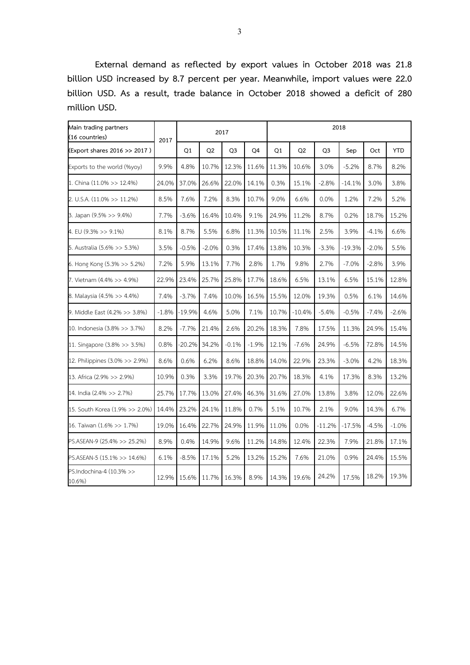**External demand as reflected by export values in October 2018 was 21.8 billion USD increased by 8.7 percent per year. Meanwhile, import values were 22.0 billion USD. As a result, trade balance in October 2018 showed a deficit of 280 million USD.**

| Main trading partners<br>(16 countries) | 2017    |          |                | 2017           |         |       |                |                |          |         |            |
|-----------------------------------------|---------|----------|----------------|----------------|---------|-------|----------------|----------------|----------|---------|------------|
| (Export shares 2016 >> 2017)            |         | Q1       | Q <sub>2</sub> | Q <sub>3</sub> | Q4      | Q1    | Q <sub>2</sub> | Q <sub>3</sub> | Sep      | Oct     | <b>YTD</b> |
| Exports to the world (%yoy)             | 9.9%    | 4.8%     | 10.7%          | 12.3%          | 11.6%   | 11.3% | 10.6%          | 3.0%           | $-5.2%$  | 8.7%    | 8.2%       |
| 1. China (11.0% >> 12.4%)               | 24.0%   | 37.0%    | 26.6%          | 22.0%          | 14.1%   | 0.3%  | 15.1%          | $-2.8%$        | $-14.1%$ | 3.0%    | 3.8%       |
| 2. U.S.A. (11.0% >> 11.2%)              | 8.5%    | 7.6%     | 7.2%           | 8.3%           | 10.7%   | 9.0%  | 6.6%           | 0.0%           | 1.2%     | 7.2%    | 5.2%       |
| 3. Japan (9.5% >> 9.4%)                 | 7.7%    | $-3.6%$  | 16.4%          | 10.4%          | 9.1%    | 24.9% | 11.2%          | 8.7%           | 0.2%     | 18.7%   | 15.2%      |
| 4. EU (9.3% >> 9.1%)                    | 8.1%    | 8.7%     | 5.5%           | 6.8%           | 11.3%   | 10.5% | 11.1%          | 2.5%           | 3.9%     | $-4.1%$ | 6.6%       |
| 5. Australia (5.6% >> 5.3%)             | 3.5%    | $-0.5%$  | $-2.0%$        | 0.3%           | 17.4%   | 13.8% | 10.3%          | $-3.3%$        | $-19.3%$ | $-2.0%$ | 5.5%       |
| 6. Hong Kong (5.3% >> 5.2%)             | 7.2%    | 5.9%     | 13.1%          | 7.7%           | 2.8%    | 1.7%  | 9.8%           | 2.7%           | $-7.0%$  | $-2.8%$ | 3.9%       |
| 7. Vietnam (4.4% >> 4.9%)               | 22.9%   | 23.4%    | 25.7%          | 25.8%          | 17.7%   | 18.6% | 6.5%           | 13.1%          | 6.5%     | 15.1%   | 12.8%      |
| 8. Malaysia (4.5% >> 4.4%)              | 7.4%    | $-3.7%$  | 7.4%           | 10.0%          | 16.5%   | 15.5% | 12.0%          | 19.3%          | 0.5%     | 6.1%    | 14.6%      |
| 9. Middle East (4.2% >> 3.8%)           | $-1.8%$ | $-19.9%$ | 4.6%           | 5.0%           | 7.1%    | 10.7% | $-10.4%$       | $-5.4%$        | $-0.5%$  | $-7.4%$ | $-2.6%$    |
| 10. Indonesia (3.8% >> 3.7%)            | 8.2%    | $-7.7%$  | 21.4%          | 2.6%           | 20.2%   | 18.3% | 7.8%           | 17.5%          | 11.3%    | 24.9%   | 15.4%      |
| 11. Singapore (3.8% >> 3.5%)            | 0.8%    | $-20.2%$ | 34.2%          | $-0.1%$        | $-1.9%$ | 12.1% | $-7.6%$        | 24.9%          | $-6.5%$  | 72.8%   | 14.5%      |
| 12. Philippines (3.0% >> 2.9%)          | 8.6%    | 0.6%     | 6.2%           | 8.6%           | 18.8%   | 14.0% | 22.9%          | 23.3%          | $-3.0%$  | 4.2%    | 18.3%      |
| 13. Africa (2.9% >> 2.9%)               | 10.9%   | 0.3%     | 3.3%           | 19.7%          | 20.3%   | 20.7% | 18.3%          | 4.1%           | 17.3%    | 8.3%    | 13.2%      |
| 14. India (2.4% >> 2.7%)                | 25.7%   | 17.7%    | 13.0%          | 27.4%          | 46.3%   | 31.6% | 27.0%          | 13.8%          | 3.8%     | 12.0%   | 22.6%      |
| 15. South Korea (1.9% >> 2.0%)          | 14.4%   | 23.2%    | 24.1%          | 11.8%          | 0.7%    | 5.1%  | 10.7%          | 2.1%           | 9.0%     | 14.3%   | 6.7%       |
| 16. Taiwan (1.6% >> 1.7%)               | 19.0%   | 16.4%    | 22.7%          | 24.9%          | 11.9%   | 11.0% | 0.0%           | $-11.2%$       | $-17.5%$ | $-4.5%$ | $-1.0%$    |
| PS.ASEAN-9 (25.4% >> 25.2%)             | 8.9%    | 0.4%     | 14.9%          | 9.6%           | 11.2%   | 14.8% | 12.4%          | 22.3%          | 7.9%     | 21.8%   | 17.1%      |
| PS.ASEAN-5 (15.1% >> 14.6%)             | 6.1%    | $-8.5%$  | 17.1%          | 5.2%           | 13.2%   | 15.2% | 7.6%           | 21.0%          | 0.9%     | 24.4%   | 15.5%      |
| PS.Indochina-4 (10.3% >><br>10.6%)      | 12.9%   | 15.6%    | 11.7%          | 16.3%          | 8.9%    | 14.3% | 19.6%          | 24.2%          | 17.5%    | 18.2%   | 19.3%      |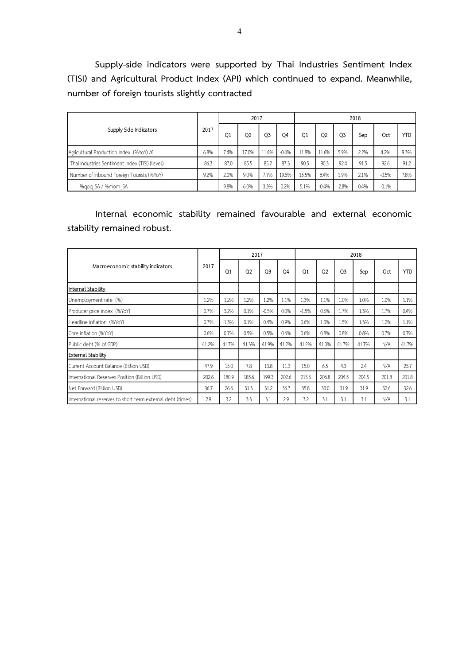**Supply-side indicators were supported by Thai Industries Sentiment Index (TISI) and Agricultural Product Index (API) which continued to expand. Meanwhile, number of foreign tourists slightly contracted**

| Supply Side Indicators                         |      |                | 2017           |                |                | 2018           |         |         |      |         |            |  |
|------------------------------------------------|------|----------------|----------------|----------------|----------------|----------------|---------|---------|------|---------|------------|--|
|                                                | 2017 | Q <sub>1</sub> | Q <sub>2</sub> | O <sub>3</sub> | O <sub>4</sub> | O <sub>1</sub> | Q2      | O3      | Sep  | Oct     | <b>YTD</b> |  |
| Agricultural Production Index (%YoY) /6        | 6.8% | 7.4%           | 17.0%          | 11.4%          | $-0.4%$        | 11.8%          | 11.6%   | 5.9%    | 2.2% | 4.2%    | 9.3%       |  |
| Thai Industries Sentiment Index (TISI) (level) | 86.3 | 87.0           | 85.5           | 85.2           | 87.3           | 90.5           | 90.3    | 92.4    | 91.5 | 92.6    | 91.2       |  |
| Number of Inbound Foreign Tourists (%YoY)      | 9.2% | 2.0%           | 9.0%           | 7.7%           | 19.5%          | 15.5%          | 8.4%    | 1.9%    | 2.1% | $-0.5%$ | 7.8%       |  |
| %gog SA / %mom SA                              |      | 9.8%           | 6.0%           | 3.3%           | 0.2%           | 5.1%           | $-0.4%$ | $-2.8%$ | 0.4% | $-0.1%$ |            |  |

**Internal economic stability remained favourable and external economic stability remained robust.**

|                                                            | 2017  |                | 2017           |                |                | 2018           |                |                |       |       |            |  |
|------------------------------------------------------------|-------|----------------|----------------|----------------|----------------|----------------|----------------|----------------|-------|-------|------------|--|
| Macroeconomic stability indicators                         |       | O <sub>1</sub> | O <sub>2</sub> | O <sub>3</sub> | O <sub>4</sub> | O <sub>1</sub> | O <sub>2</sub> | O <sub>3</sub> | Sep   | Oct   | <b>YTD</b> |  |
| Internal Stability                                         |       |                |                |                |                |                |                |                |       |       |            |  |
| Unemployment rate (%)                                      | 1.2%  | 1.2%           | 1.2%           | 1.2%           | 1.1%           | 1.3%           | 1.1%           | 1.0%           | 1.0%  | 1.0%  | 1.1%       |  |
| Producer price index (%YoY)                                | 0.7%  | 3.2%           | 0.1%           | $-0.5%$        | 0.0%           | $-1.5%$        | 0.6%           | 1.7%           | 1.3%  | 1.7%  | 0.4%       |  |
| Headline inflation (%YoY)                                  | 0.7%  | 1.3%           | 0.1%           | 0.4%           | 0.9%           | 0.6%           | 1.3%           | 1.5%           | 1.3%  | 1.2%  | 1.1%       |  |
| Core inflation (%YoY)                                      | 0.6%  | 0.7%           | 0.5%           | 0.5%           | 0.6%           | 0.6%           | 0.8%           | 0.8%           | 0.8%  | 0.7%  | 0.7%       |  |
| Public debt (% of GDP)                                     | 41.2% | 41.7%          | 41.3%          | 41.9%          | 41.2%          | 41.2%          | 41.0%          | 41.7%          | 41.7% | N/A   | 41.7%      |  |
| <b>External Stability</b>                                  |       |                |                |                |                |                |                |                |       |       |            |  |
| Current Account Balance (Billion USD)                      | 47.9  | 15.0           | 7.8            | 13.8           | 11.3           | 15.0           | 6.5            | 4.3            | 2.4   | N/A   | 25.7       |  |
| International Reserves Position (Billion USD)              | 202.6 | 180.9          | 185.6          | 199.3          | 202.6          | 215.6          | 206.8          | 204.5          | 204.5 | 201.8 | 201.8      |  |
| Net Forward (Billion USD)                                  | 36.7  | 26.6           | 31.3           | 31.2           | 36.7           | 35.8           | 33.0           | 31.9           | 31.9  | 32.6  | 32.6       |  |
| International reserves to short term external debt (times) | 2.9   | 3.2            | 3.3            | 3.1            | 2.9            | 3.2            | 3.1            | 3.1            | 3.1   | N/A   | 3.1        |  |